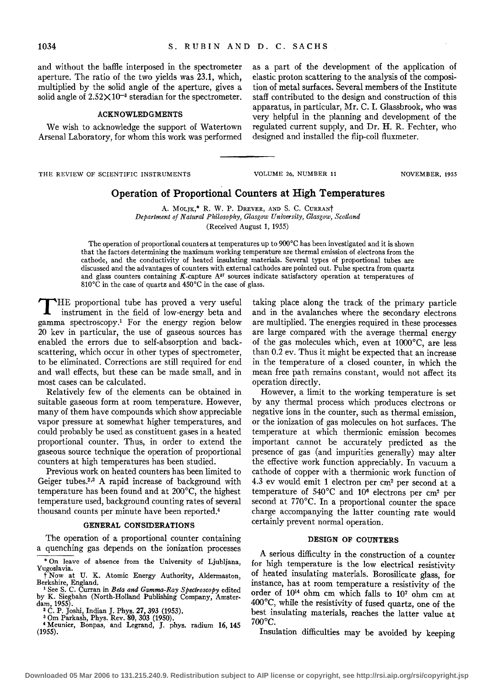and without the baffle interposed in the spectrometer aperture. The ratio of the two yields was 23.1, which, multiplied by the solid angle of the aperture, gives a solid angle of  $2.52 \times 10^{-3}$  steradian for the spectrometer.

## ACKNOWLEDGMENTS

We wish to acknowledge the support of Watertown Arsenal Laboratory, for whom this work was performed as a part of the development of the application of elastic proton scattering to the analysis of the composition of metal surfaces. Several members of the Institute staff contributed to the design and construction of this apparatus, in particular, Mr. C. I. Glassbrook, who was very helpful in the planning and development of the regulated current supply, and Dr. H. R. Fechter, who designed and installed the flip-coil fluxmeter.

THE REVIEW OF SCIENTIFIC INSTRUMENTS

VOLUME 26, NUMBER 11 NOVEMBER, 1955

# **Operation of Proportional Counters at High Temperatures**

A. MOLJK,\* R. W. P. DREVER, AND S. C. CURRANT Department of Natural Philosophy, Glasgow University, Glasgow, Scotland (Received August 1, 1955)

The operation of proportional counters at temperatures up to 900°C has been investigated and it is shown that the factors determining the maximum working temperature are thermal emission of electrons from the cathode, and the conductivity of heated insulating materials. Several types of proportional tubes are discussed and the advantages of counters with external cathodes are pointed out. Pulse spectra from quartz and glass counters containing  $K$ -capture  $A^{37}$  sources indicate satisfactory operation at temperatures of 810°C in the case of quartz and 450°C in the case of glass.

T HE proportional tube has proved a very useful instrument in the field of low-energy beta and gamma spectroscopy.1 For the energy region below 20 kev in particular, the use of gaseous sources has enabled the errors due to self-absorption and backscattering, which occur in other types of spectrometer, to be eliminated. Corrections are still required for end and wall effects, but these can be made small, and in most cases can be calculated.

Relatively few of the elements can be obtained in suitable gaseous form at room temperature. However, many of them have compounds which show appreciable vapor pressure at somewhat higher temperatures, and could probably be used as constituent gases in a heated proportional counter. Thus, in order to extend the gaseous source technique the operation of proportional counters at high temperatures has been studied.

Previous work on heated counters has been limited to Geiger tubes.<sup>2,3</sup> A rapid increase of background with temperature has been found and at 200°C, the highest temperature used, background counting rates of several thousand counts per minute have been reported.4

### GENERAL CONSIDERATIONS

The operation of a proportional counter containing a quenching gas depends on the ionization processes taking place along the track of the primary particle and in the avalanches where the secondary electrons are multiplied. The energies required in these processes are large compared with the average thermal energy of the gas molecules which, even at 1000°C, are less than 0.2 ev. Thus it might be expected that an increase in the temperature of a closed counter, in which the mean free path remains constant, would not affect its operation directly.

However, a limit to the working temperature is set by any thermal process which produces electrons or negative ions in the counter, such as thermal emission, or the ionization of gas molecules on hot surfaces. The temperature at which thermionic emission becomes important cannot be accurately predicted as the presence of gas (and impurities generally) may alter the effective work function appreciably. In vacuum a cathode of copper with a thermionic work function of 4.3 ev would emit 1 electron per cm2 per second at a temperature of  $540^{\circ}$ C and  $10^{\circ}$  electrons per cm<sup>2</sup> per second at 770°C. In a proportional counter the space charge accompanying the latter counting rate would certainly prevent normal operation.

### DESIGN OF COUNTERS

A serious difficulty in the construction of a counter for high temperature is the low electrical resistivity of heated insulating materials. Borosilicate glass, for mstance, has at room temperature a resistivity of the order of 1014 ohm em which falls to 107 ohm em at 400°C, while the resistivity of fused quartz, one of the best insulating materials, reaches the latter value at 700°C.

Insulation difficulties may be avoided by keeping

<sup>\*</sup>On leave of absence from the University of Ljubljana, Yugoslavia.

t Now at U. K. Atomic Energy Authority, Aldermaston, Berkshire, England. 1 See S. C. Curran in *Beta and Gamma-Ray Spectroscopy* edited

by K. Siegbahn (North-Holland Publishing Company, Amster-<br>dam, 1955).<br> $\frac{2}{5}$ C. P. Loshi, Indian I. Plan, 27, 222, (1975).

dam, 1955).<br><sup>2</sup> C. P. Joshi, Indian J. Phys. 27, 393 (1953).<br><sup>3</sup> Om Parkash, Phys. Rev. 80, 303 (1950).<br><sup>4</sup> Meunier, Bonpas, and Legrand, J. phys. radium 16, 145

<sup>(1955).</sup>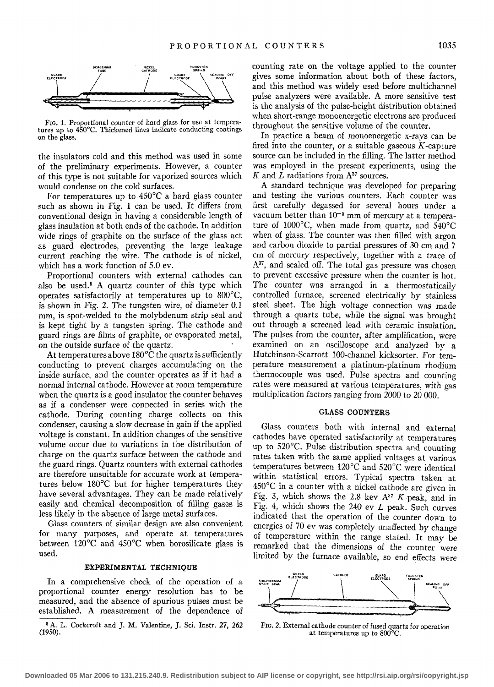

FIG. 1. Proportional counter of hard glass for use at temperatures up to 450°C. Thickened lines indicate conducting coatings on the glass.

the insulators cold and this method was used in some of the preliminary experiments. However, a counter of this type is not suitable for vaporized sources which would condense on the cold surfaces.

For temperatures up to  $450^{\circ}$ C a hard glass counter such as shown in Fig. 1 can be used. It differs from conventional design in having a considerable length of glass insulation at both ends of the cathode. In addition wide rings of graphite on the surface of the glass act as guard electrodes, preventing the large leakage current reaching the wire. The cathode is of nickel, which has a work function of 5.0 ev.

Proportional counters with external cathodes can also be used.<sup>5</sup> A quartz counter of this type which operates satisfactorily at temperatures up to 800°C, is shown in Fig. 2. The tungsten wire, of diameter 0.1 mm, is spot-welded to the molybdenum strip seal and is kept tight by a tungsten spring. The cathode and guard rings are films of graphite, or evaporated metal, on the outside surface of the quartz.

At temperatures above 180°C the quartz is sufficiently conducting to prevent charges accumulating on the inside surface, and the counter operates as if it had a normal internal cathode. However at room temperature when the quartz is a good insulator the counter behaves as if a condenser were connected in series with the cathode. During counting charge collects on this condenser, causing a slow decrease in gain if the applied voltage is constant. In addition changes of the sensitive volume occur due to variations in the distribution of charge on the quartz surface between the cathode and the guard rings. Quartz counters with external cathodes are therefore unsuitable for accurate work at temperatures below 180°C but for higher temperatures they have several advantages. They can be made relatively easily and chemical decomposition of filling gases is less likely in the absence of large metal surfaces.

Glass counters of similar design are also convenient for many purposes, and operate at temperatures between 120°C and 450°C when borosilicate glass is used.

#### EXPERIMENTAL TECHNIQUE

In a comprehensive check of the operation of a proportional counter energy resolution has to be measured, and the absence of spurious pulses must be established. A measurement of the dependence of counting rate on the voltage applied to the counter gives some information about both of these factors, and this method was widely used before multichannel pulse analyzers were available. A more sensitive test is the analysis of the pulse-height distribution obtained when short-range monoenergetic electrons are produced throughout the sensitive volume of the counter.

In practice a beam of monoenergetic x-rays can be fired into the counter, or a suitable gaseous  $K$ -capture source can be included in the filling. The latter method was employed in the present experiments, using the *K* and *L* radiations from A37 sources.

A standard technique was developed for preparing and testing the various counters. Each counter was first carefully degassed for several hours under a vacuum better than  $10^{-5}$  mm of mercury at a temperature of 1000°C, when made from quartz, and S40°C when of glass. The counter was then filled with argon and carbon dioxide to partial pressures of 30 em and 7 em of mercury respectively, together with a trace of  $A^{37}$ , and sealed off. The total gas pressure was chosen to prevent excessive pressure when the counter is hot. The counter was arranged in a thermostatically controlled furnace, screened electrically by stainless steel sheet. The high voltage connection was made through a quartz tube, while the signal was brought out through a screened lead with ceramic insulation. The pulses from the counter, after amplification, were examined on an oscilloscope and analyzed by a Hutchinson-Scarrott 100-channel kicksorter. For temperature measurement a platinum-platinum rhodium thermocouple was used. Pulse spectra and counting rates were measured at various temperatures, with gas multiplication factors ranging from 2000 to 20 000.

# GLASS COUNTERS

Glass counters both with internal and external cathodes have operated satisfactorily at temperatures up to 520°C. Pulse distribution spectra and counting rates taken with the same applied voltages at various temperatures between 120°C and 520°C were identical within statistical errors. Typical spectra taken at 450°C in a counter with a nickel cathode are given in Fig. 3, which shows the 2.8 kev  $A^{37}$  K-peak, and in Fig. 4, which shows the  $240$  ev  $L$  peak. Such curves indicated that the operation of the counter down to energies of 70 ev was completely unaffected by change of temperature within the range stated. It may be remarked that the dimensions of the counter were limited by the furnace available, so end effects were



FIG. 2. External cathode counter of fused quartz for operation at temperatures up to 800°C.

<sup>~</sup>A. L. Cockcroft and J. M. Valentine, J. Sci. Instr. 27, 262 (1950).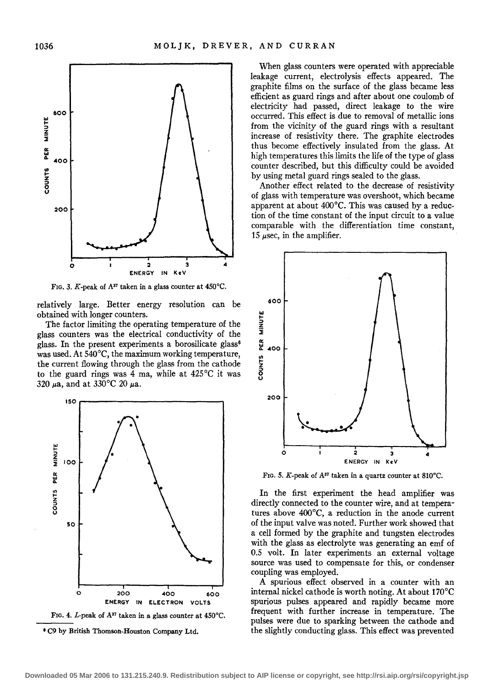

FIG. 3. K-peak of  $A^{37}$  taken in a glass counter at 450°C.

relatively large. Better energy resolution can be obtained with longer counters.

The factor limiting the operating temperature of the glass counters was the electrical conductivity of the glass. In the present experiments a borosilicate glass<sup>6</sup> was used. At 540°C, the maximum working temperature, the current flowing through the glass from the cathode to the guard rings was 4 ma, while at  $425^{\circ}$ C it was 320  $\mu$ a, and at 330°C 20  $\mu$ a.





When glass counters were operated with appreciable leakage current, electrolysis effects appeared. The graphite films on the surface of the glass became less efficient as guard rings and after about one coulomb of electricity had passed, direct leakage to the wire occurred. This effect is due to removal of metallic ions from the vicinity of the guard rings with a resultant increase of resistivity there. The graphite electrodes thus become effectively insulated from the glass. At high temperatures this limits the life of the type of glass counter described, but this difficulty could be avoided by using metal guard rings sealed to the glass.

Another effect related to the decrease of resistivity of glass with temperature was overshoot, which became apparent at about 400°C. This was caused by a reduction of the time constant of the input circuit to a value comparable with the differentiation time constant, 15  $\mu$ sec, in the amplifier.



FIG. 5. *K*-peak of A<sup>37</sup> taken in a quartz counter at 810°C.

In the first experiment the head amplifier was directly connected to the counter wire, and at temperatures above 400°C, a reduction in the anode current of the input valve was noted. Further work showed that a cell formed by the graphite and tungsten electrodes with the glass as electrolyte was generating an emf of 0.5 volt. In later experiments an external voltage source was used to compensate for this, or condenser coupling was employed.

A spurious effect observed in a counter with an internal nickel cathode is worth noting. At about 170°C spurious pulses appeared and rapidly became more frequent with further increase in temperature. The pulses were due to sparking between the cathode and the slightly conducting glass. This effect was prevented